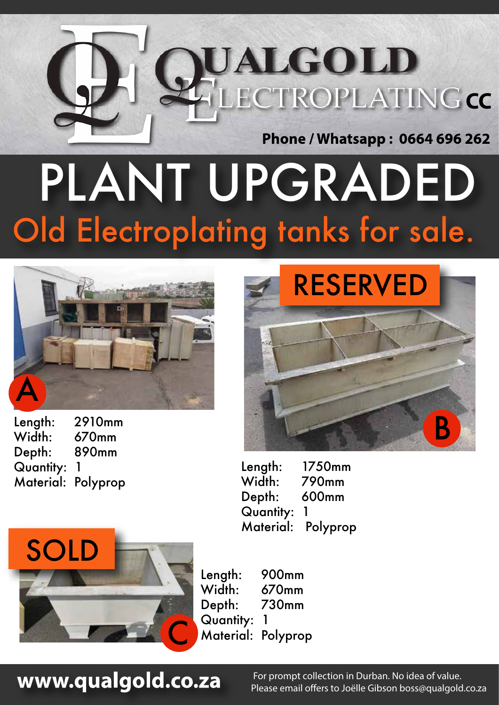

# Old Electroplating tanks for sale. PLANT UPGRADED



Length: 2910mm Width: 670mm Depth: 890mm Quantity: 1 Material: Polyprop



Length: 1750mm Width: 790mm Depth: 600mm Quantity: 1 Material: Polyprop



Length: 900mm Width: 670mm Depth: 730mm Quantity: 1 Material: Polyprop

### www.qualgold.co.za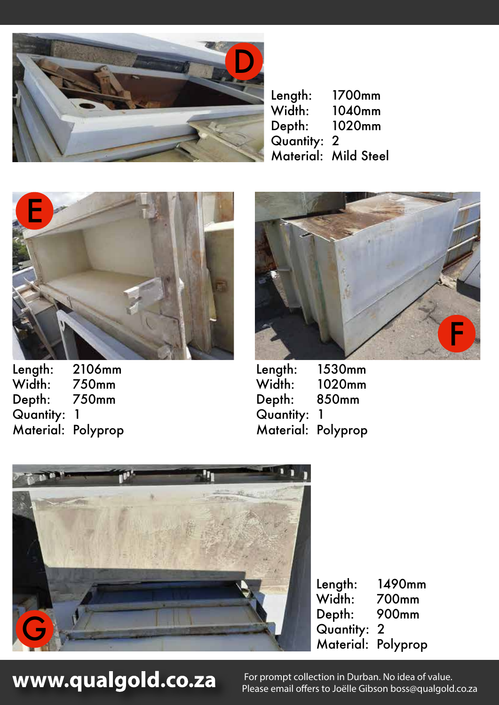

Length: 1700mm<br>Width: 1040mm 1040mm Depth: 1020mm Quantity: 2 Material: Mild Steel



Length: 2106mm<br>Width: 750mm 750mm Depth: 750mm Quantity: 1 Material: Polyprop



Length: 1530mm<br>Width: 1020mm 1020mm Depth: 850mm Quantity: 1 Material: Polyprop



Length: 1490mm Width: 700mm Depth: 900mm Quantity: 2 Material: Polyprop

## www.qualgold.co.za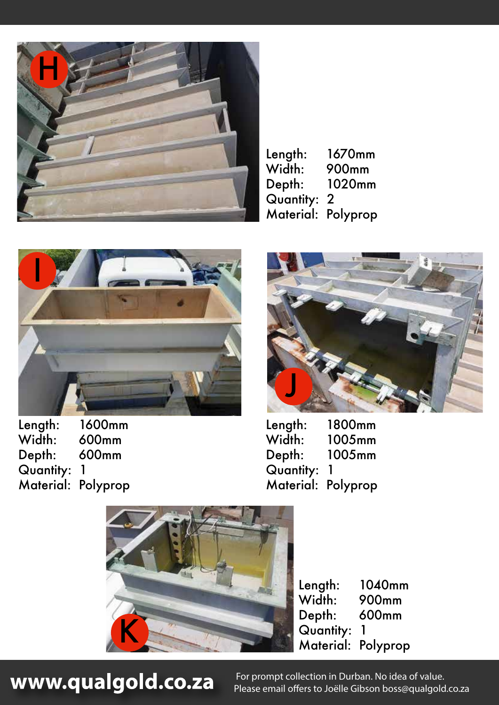

Length: 1670mm Width: 900mm<br>Depth: 1020mn 1020mm Quantity: 2 Material: Polyprop



Length: 1600mm Width: 600mm Depth: 600mm Quantity: 1 Material: Polyprop



Length: 1800mm<br>Width: 1005mm 1005mm Depth: 1005mm Quantity: 1 Material: Polyprop



Length: 1040mm<br>Width: 900mm 900mm Depth: 600mm Quantity: 1 Material: Polyprop

www.qualgold.co.za